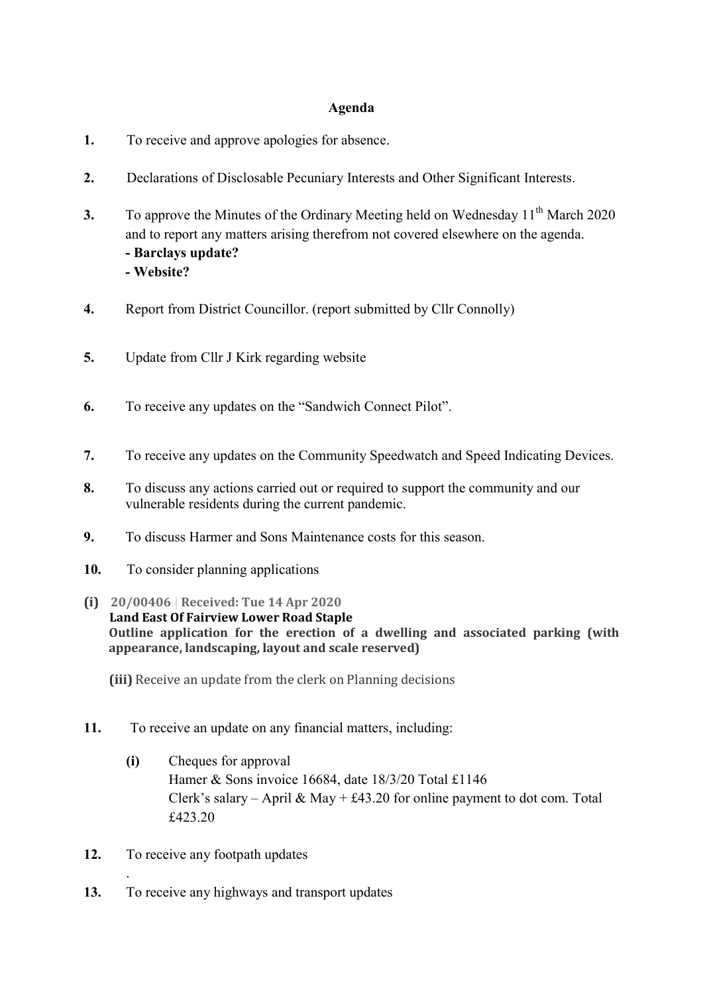## Agenda

- 1. To receive and approve apologies for absence.
- 2. Declarations of Disclosable Pecuniary Interests and Other Significant Interests.
- 3. To approve the Minutes of the Ordinary Meeting held on Wednesday  $11<sup>th</sup>$  March 2020 and to report any matters arising therefrom not covered elsewhere on the agenda. - Barclays update? - Website?
- 4. Report from District Councillor. (report submitted by Cllr Connolly)
- 5. Update from Cllr J Kirk regarding website
- 6. To receive any updates on the "Sandwich Connect Pilot".
- 7. To receive any updates on the Community Speedwatch and Speed Indicating Devices.
- 8. To discuss any actions carried out or required to support the community and our vulnerable residents during the current pandemic.
- 9. To discuss Harmer and Sons Maintenance costs for this season.
- 10. To consider planning applications
- (i) 20/00406 | Received: Tue 14 Apr 2020 Land East Of Fairview Lower Road Staple Outline application for the erection of a dwelling and associated parking (with appearance, landscaping, layout and scale reserved)
	- (iii) Receive an update from the clerk on Planning decisions
- 11. To receive an update on any financial matters, including:
	- (i) Cheques for approval Hamer & Sons invoice 16684, date 18/3/20 Total £1146 Clerk's salary – April & May + £43.20 for online payment to dot com. Total £423.20
- 12. To receive any footpath updates

.

13. To receive any highways and transport updates